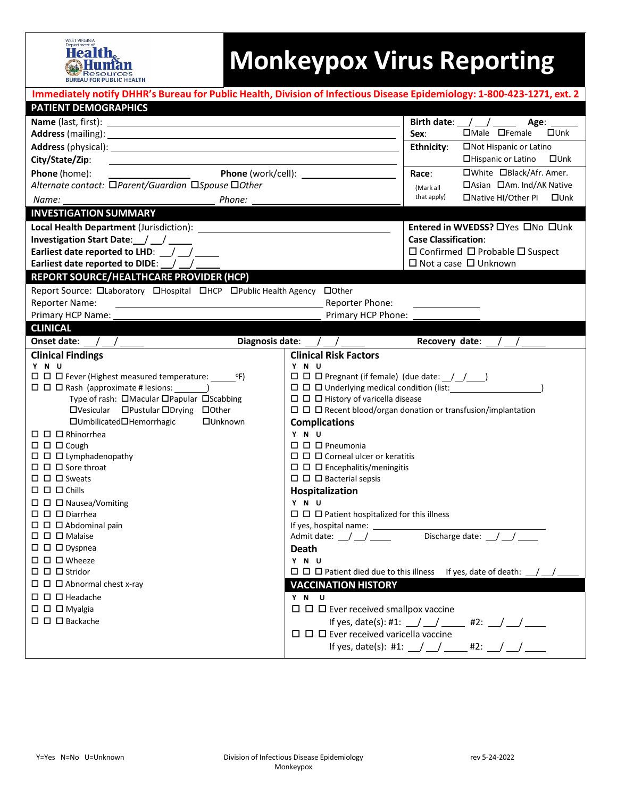

## **Monkeypox Virus Reporting**

|                                                                                                                                                                                                                                      | Immediately notify DHHR's Bureau for Public Health, Division of Infectious Disease Epidemiology: 1-800-423-1271, ext. 2                                                                                                                            |  |  |  |  |
|--------------------------------------------------------------------------------------------------------------------------------------------------------------------------------------------------------------------------------------|----------------------------------------------------------------------------------------------------------------------------------------------------------------------------------------------------------------------------------------------------|--|--|--|--|
| <b>PATIENT DEMOGRAPHICS</b>                                                                                                                                                                                                          |                                                                                                                                                                                                                                                    |  |  |  |  |
|                                                                                                                                                                                                                                      | Birth date: $\angle$ / $\angle$<br>Age:                                                                                                                                                                                                            |  |  |  |  |
|                                                                                                                                                                                                                                      | □Male □Female<br>$\square$ Unk<br>Sex:                                                                                                                                                                                                             |  |  |  |  |
| Address (physical): <u>and a set of the set of the set of the set of the set of the set of the set of the set of the set of the set of the set of the set of the set of the set of the set of the set of the set of the set of t</u> | □Not Hispanic or Latino<br>Ethnicity:                                                                                                                                                                                                              |  |  |  |  |
| City/State/Zip:<br><u> 1989 - Johann Stein, marwolaethau a bhann an t-Amhainn an t-Amhainn an t-Amhainn an t-Amhainn an t-Amhainn an</u>                                                                                             | □Hispanic or Latino<br>$\square$ Unk                                                                                                                                                                                                               |  |  |  |  |
| $\frac{1}{\sqrt{1-\frac{1}{2}}\left(1-\frac{1}{2}\right)}$<br>Phone (home):                                                                                                                                                          | □White □Black/Afr. Amer.<br>Race:                                                                                                                                                                                                                  |  |  |  |  |
| Alternate contact: □Parent/Guardian □Spouse □Other                                                                                                                                                                                   | □Asian □Am. Ind/AK Native<br>(Mark all                                                                                                                                                                                                             |  |  |  |  |
| Phone:<br>Name:                                                                                                                                                                                                                      | that apply)<br>□Native HI/Other PI □Unk                                                                                                                                                                                                            |  |  |  |  |
| <b>INVESTIGATION SUMMARY</b>                                                                                                                                                                                                         |                                                                                                                                                                                                                                                    |  |  |  |  |
|                                                                                                                                                                                                                                      | Entered in WVEDSS? OYes ONo OUnk                                                                                                                                                                                                                   |  |  |  |  |
| Investigation Start Date: / /                                                                                                                                                                                                        | <b>Case Classification:</b>                                                                                                                                                                                                                        |  |  |  |  |
| Earliest date reported to LHD: / /                                                                                                                                                                                                   | □ Confirmed □ Probable □ Suspect                                                                                                                                                                                                                   |  |  |  |  |
| Earliest date reported to DIDE: /                                                                                                                                                                                                    | $\Box$ Not a case $\Box$ Unknown                                                                                                                                                                                                                   |  |  |  |  |
| REPORT SOURCE/HEALTHCARE PROVIDER (HCP)                                                                                                                                                                                              |                                                                                                                                                                                                                                                    |  |  |  |  |
| Report Source: Olaboratory OHospital OHCP OPublic Health Agency OOther                                                                                                                                                               |                                                                                                                                                                                                                                                    |  |  |  |  |
| <b>Reporter Name:</b><br><u> 1989 - Johann Stein, mars an deutscher Stein († 1989)</u>                                                                                                                                               | Reporter Phone:                                                                                                                                                                                                                                    |  |  |  |  |
| Primary HCP Name:                                                                                                                                                                                                                    | Primary HCP Phone:                                                                                                                                                                                                                                 |  |  |  |  |
| <b>CLINICAL</b>                                                                                                                                                                                                                      |                                                                                                                                                                                                                                                    |  |  |  |  |
| Onset date: $\_\_\_\_\_\_\_\_\_\_\_\_\_\_\_$                                                                                                                                                                                         | Diagnosis date: $\angle$ / $\angle$<br>Recovery date: $/$ /                                                                                                                                                                                        |  |  |  |  |
| <b>Clinical Findings</b>                                                                                                                                                                                                             | <b>Clinical Risk Factors</b>                                                                                                                                                                                                                       |  |  |  |  |
| Y N U                                                                                                                                                                                                                                | Y N U                                                                                                                                                                                                                                              |  |  |  |  |
| $\Box$ $\Box$ Fever (Highest measured temperature: $^{\circ}$ F)                                                                                                                                                                     |                                                                                                                                                                                                                                                    |  |  |  |  |
| $\Box$ $\Box$ $\Box$ $\Box$ $\Box$ $\Box$ $\Box$ $Rash (approximate # lesions: \_\_ )$                                                                                                                                               |                                                                                                                                                                                                                                                    |  |  |  |  |
| Type of rash: OMacular OPapular OScabbing                                                                                                                                                                                            | $\Box$ $\Box$ History of varicella disease                                                                                                                                                                                                         |  |  |  |  |
| □Vesicular □Pustular □Drying □Other                                                                                                                                                                                                  |                                                                                                                                                                                                                                                    |  |  |  |  |
| □Umbilicated□Hemorrhagic<br>□Unknown                                                                                                                                                                                                 | <b>Complications</b>                                                                                                                                                                                                                               |  |  |  |  |
| $\Box$ $\Box$ Rhinorrhea<br>$\Box$ $\Box$ Cough                                                                                                                                                                                      | Y N U<br>$\square$ $\square$ Pneumonia                                                                                                                                                                                                             |  |  |  |  |
| $\Box$ $\Box$ $\Box$ Lymphadenopathy                                                                                                                                                                                                 | $\Box$ $\Box$ $\Box$ Corneal ulcer or keratitis                                                                                                                                                                                                    |  |  |  |  |
| $\Box$ $\Box$ Sore throat                                                                                                                                                                                                            | $\Box$ $\Box$ Encephalitis/meningitis                                                                                                                                                                                                              |  |  |  |  |
| $\Box$ $\Box$ Sweats                                                                                                                                                                                                                 | $\Box$ $\Box$ $\Box$ Bacterial sepsis                                                                                                                                                                                                              |  |  |  |  |
| $\square$ $\square$ $\square$ Chills                                                                                                                                                                                                 | Hospitalization                                                                                                                                                                                                                                    |  |  |  |  |
| $\Box$ $\Box$ $\Box$ Nausea/Vomiting                                                                                                                                                                                                 | Y N U                                                                                                                                                                                                                                              |  |  |  |  |
| $\Box$ $\Box$ Diarrhea                                                                                                                                                                                                               |                                                                                                                                                                                                                                                    |  |  |  |  |
| $\Box$ $\Box$ $\Box$ Abdominal pain                                                                                                                                                                                                  |                                                                                                                                                                                                                                                    |  |  |  |  |
| $\square$ $\square$ $\square$ Malaise                                                                                                                                                                                                | Discharge date: /<br>Admit date: \squad \squad \squad \squad \squad \squad \squad \squad \squad \squad \squad \squad \squad \squad \squad \squad \squad \squad \squad \squad \squad \squad \squad \squad \squad \squad \squad \squad \squad \squad |  |  |  |  |
| $\square$ $\square$ $\square$ Dyspnea                                                                                                                                                                                                | <b>Death</b>                                                                                                                                                                                                                                       |  |  |  |  |
| $\Box$ $\Box$ $\Box$ Wheeze                                                                                                                                                                                                          | Y N U                                                                                                                                                                                                                                              |  |  |  |  |
| $\Box$ $\Box$ Stridor                                                                                                                                                                                                                | $\Box$ $\Box$ $\Box$ Patient died due to this illness If yes, date of death: /                                                                                                                                                                     |  |  |  |  |
| $\Box$ $\Box$ Abnormal chest x-ray                                                                                                                                                                                                   | <b>VACCINATION HISTORY</b>                                                                                                                                                                                                                         |  |  |  |  |
| $\Box$ $\Box$ Headache                                                                                                                                                                                                               | Y N U                                                                                                                                                                                                                                              |  |  |  |  |
| $\square$ $\square$ $\square$ Myalgia                                                                                                                                                                                                | $\Box$ $\Box$ Ever received smallpox vaccine                                                                                                                                                                                                       |  |  |  |  |
| $\square$ $\square$ Backache                                                                                                                                                                                                         | If yes, date(s): #1: $\angle$ / $\angle$ #2: / /                                                                                                                                                                                                   |  |  |  |  |
|                                                                                                                                                                                                                                      | $\Box$ $\Box$ Ever received varicella vaccine                                                                                                                                                                                                      |  |  |  |  |
|                                                                                                                                                                                                                                      | If yes, date(s): #1: \_/ \_/ \__ #2: \_/ \_/                                                                                                                                                                                                       |  |  |  |  |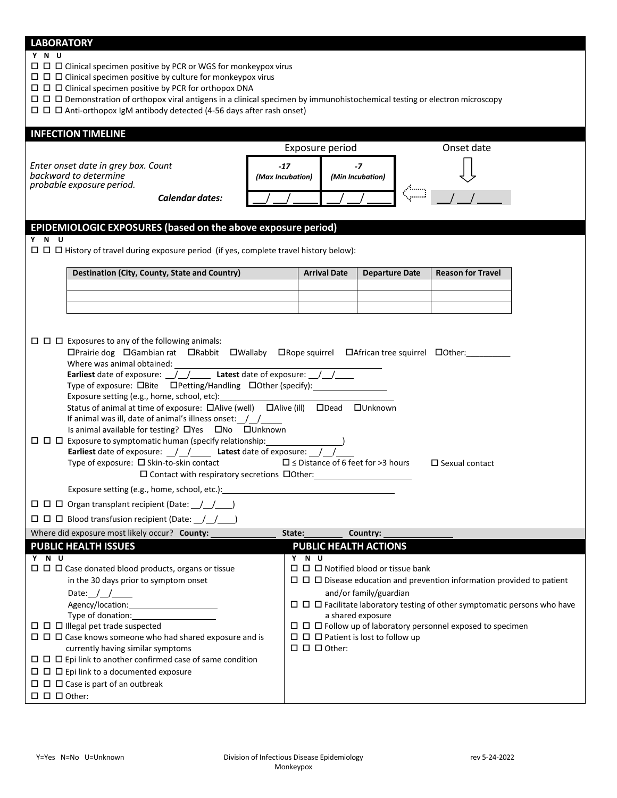## **LABORATORY**

## **Y N U**

 $\square$   $\square$   $\square$  Clinical specimen positive by PCR or WGS for monkeypox virus

 $\Box$   $\Box$   $\Box$  Clinical specimen positive by culture for monkeypox virus

 $\square$   $\square$   $\square$  Clinical specimen positive by PCR for orthopox DNA

Demonstration of orthopox viral antigens in a clinical specimen by immunohistochemical testing or electron microscopy

 $\Box$   $\Box$   $\Box$   $\Box$  Anti-orthopox IgM antibody detected (4-56 days after rash onset)

| <b>INFECTION TIMELINE</b>                                                                                                                                                                                                                |                           |                                      |                                                   |            |                          |  |  |
|------------------------------------------------------------------------------------------------------------------------------------------------------------------------------------------------------------------------------------------|---------------------------|--------------------------------------|---------------------------------------------------|------------|--------------------------|--|--|
|                                                                                                                                                                                                                                          | Exposure period           |                                      |                                                   | Onset date |                          |  |  |
| Enter onset date in grey box. Count<br>backward to determine<br>probable exposure period.                                                                                                                                                | $-17$<br>(Max Incubation) | $-7$<br>(Min Incubation)             |                                                   |            |                          |  |  |
| Calendar dates:                                                                                                                                                                                                                          |                           |                                      |                                                   |            |                          |  |  |
|                                                                                                                                                                                                                                          |                           |                                      |                                                   |            |                          |  |  |
| EPIDEMIOLOGIC EXPOSURES (based on the above exposure period)                                                                                                                                                                             |                           |                                      |                                                   |            |                          |  |  |
| Y N U                                                                                                                                                                                                                                    |                           |                                      |                                                   |            |                          |  |  |
| $\Box$ $\Box$ History of travel during exposure period (if yes, complete travel history below):                                                                                                                                          |                           |                                      |                                                   |            |                          |  |  |
|                                                                                                                                                                                                                                          |                           |                                      |                                                   |            |                          |  |  |
| Destination (City, County, State and Country)                                                                                                                                                                                            |                           | <b>Arrival Date</b>                  | <b>Departure Date</b>                             |            | <b>Reason for Travel</b> |  |  |
|                                                                                                                                                                                                                                          |                           |                                      |                                                   |            |                          |  |  |
|                                                                                                                                                                                                                                          |                           |                                      |                                                   |            |                          |  |  |
|                                                                                                                                                                                                                                          |                           |                                      |                                                   |            |                          |  |  |
|                                                                                                                                                                                                                                          |                           |                                      |                                                   |            |                          |  |  |
| $\Box$ $\Box$ Exposures to any of the following animals:                                                                                                                                                                                 |                           |                                      |                                                   |            |                          |  |  |
| $\Box$ Prairie dog $\Box$ Gambian rat $\Box$ Rabbit $\Box$ Wallaby $\Box$ Rope squirrel $\Box$ African tree squirrel $\Box$ Other:                                                                                                       |                           |                                      |                                                   |            |                          |  |  |
|                                                                                                                                                                                                                                          |                           |                                      |                                                   |            |                          |  |  |
|                                                                                                                                                                                                                                          |                           |                                      |                                                   |            |                          |  |  |
| Type of exposure: DBite DPetting/Handling DOther (specify): 1992                                                                                                                                                                         |                           |                                      |                                                   |            |                          |  |  |
| Exposure setting (e.g., home, school, etc): Lateration and the set of the set of the set of the set of the set of the set of the set of the set of the set of the set of the set of the set of the set of the set of the set o           |                           |                                      |                                                   |            |                          |  |  |
| Status of animal at time of exposure: $\Box$ Alive (well) $\Box$ Alive (ill) $\Box$ Dead $\Box$ Unknown<br>If animal was ill, date of animal's illness onset: $\frac{1}{\sqrt{2}}$<br>Is animal available for testing? OYes ONo OUnknown |                           |                                      |                                                   |            |                          |  |  |
| □ □ □ Exposure to symptomatic human (specify relationship: _____________________                                                                                                                                                         |                           |                                      |                                                   |            |                          |  |  |
| Earliest date of exposure: \[mathbb{sare}{\sigma_{D}{\sigma_{D}{\sigma_{D}{\sigma_{D}{\sigma_{D}{\sigma_{D}{\sigma_{D}}}} atest date of exposure: \[Mathbb{sare}}<br>Type of exposure: □ Skin-to-skin contact                            |                           |                                      | $\Box$ $\leq$ Distance of 6 feet for >3 hours     |            | $\Box$ Sexual contact    |  |  |
| Exposure setting (e.g., home, school, etc.): ___________________________________                                                                                                                                                         |                           |                                      |                                                   |            |                          |  |  |
|                                                                                                                                                                                                                                          |                           |                                      |                                                   |            |                          |  |  |
| $\Box$ $\Box$ Organ transplant recipient (Date: $\Box$ )                                                                                                                                                                                 |                           |                                      |                                                   |            |                          |  |  |
| $\Box$ $\Box$ Blood transfusion recipient (Date: $\Box$ )                                                                                                                                                                                |                           |                                      |                                                   |            |                          |  |  |
| Where did exposure most likely occur? County:                                                                                                                                                                                            | State: <b>State:</b>      |                                      | Country:                                          |            |                          |  |  |
| <b>PUBLIC HEALTH ISSUES</b>                                                                                                                                                                                                              |                           |                                      | <b>PUBLIC HEALTH ACTIONS</b>                      |            |                          |  |  |
| Y N U                                                                                                                                                                                                                                    | Y N U                     |                                      |                                                   |            |                          |  |  |
| $\Box$ $\Box$ Case donated blood products, organs or tissue                                                                                                                                                                              |                           |                                      | $\Box$ $\Box$ Notified blood or tissue bank       |            |                          |  |  |
| in the 30 days prior to symptom onset                                                                                                                                                                                                    |                           |                                      |                                                   |            |                          |  |  |
| Date: $1/$                                                                                                                                                                                                                               |                           | and/or family/guardian               |                                                   |            |                          |  |  |
|                                                                                                                                                                                                                                          |                           | a shared exposure                    |                                                   |            |                          |  |  |
| $\Box$ $\Box$ Illegal pet trade suspected                                                                                                                                                                                                |                           |                                      |                                                   |            |                          |  |  |
| $\Box$ $\Box$ $\Box$ Case knows someone who had shared exposure and is                                                                                                                                                                   |                           |                                      | $\Box$ $\Box$ $\Box$ Patient is lost to follow up |            |                          |  |  |
| currently having similar symptoms                                                                                                                                                                                                        |                           | $\square$ $\square$ $\square$ Other: |                                                   |            |                          |  |  |
| $\Box$ $\Box$ Epi link to another confirmed case of same condition                                                                                                                                                                       |                           |                                      |                                                   |            |                          |  |  |
| $\Box$ $\Box$ $\Box$ Epi link to a documented exposure                                                                                                                                                                                   |                           |                                      |                                                   |            |                          |  |  |
| $\Box$ $\Box$ $\Box$ Case is part of an outbreak                                                                                                                                                                                         |                           |                                      |                                                   |            |                          |  |  |

 $\square$   $\square$   $\square$  Other: